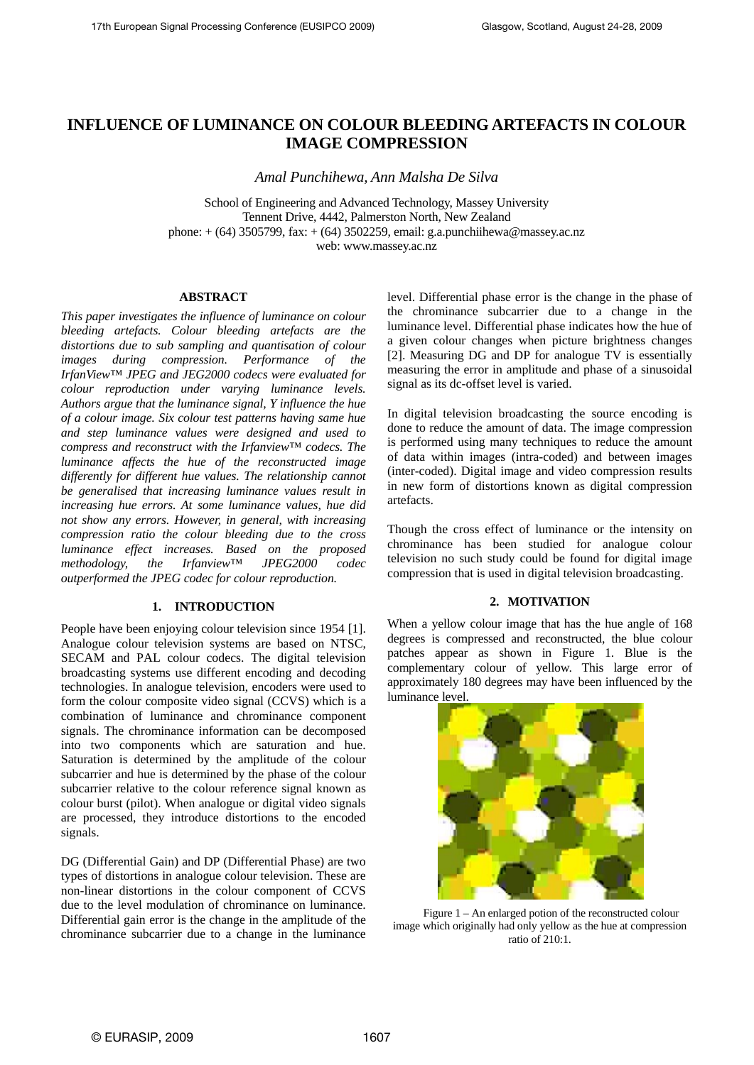# **INFLUENCE OF LUMINANCE ON COLOUR BLEEDING ARTEFACTS IN COLOUR IMAGE COMPRESSION**

*Amal Punchihewa, Ann Malsha De Silva* 

School of Engineering and Advanced Technology, Massey University Tennent Drive, 4442, Palmerston North, New Zealand phone: + (64) 3505799, fax: + (64) 3502259, email: g.a.punchiihewa@massey.ac.nz web: www.massey.ac.nz

## **ABSTRACT**

*This paper investigates the influence of luminance on colour bleeding artefacts. Colour bleeding artefacts are the distortions due to sub sampling and quantisation of colour images during compression. Performance of the IrfanView™ JPEG and JEG2000 codecs were evaluated for colour reproduction under varying luminance levels. Authors argue that the luminance signal, Y influence the hue of a colour image. Six colour test patterns having same hue and step luminance values were designed and used to compress and reconstruct with the Irfanview™ codecs. The luminance affects the hue of the reconstructed image differently for different hue values. The relationship cannot be generalised that increasing luminance values result in increasing hue errors. At some luminance values, hue did not show any errors. However, in general, with increasing compression ratio the colour bleeding due to the cross luminance effect increases. Based on the proposed methodology, the Irfanview™ JPEG2000 codec outperformed the JPEG codec for colour reproduction.* 

### **1. INTRODUCTION**

People have been enjoying colour television since 1954 [1]. Analogue colour television systems are based on NTSC, SECAM and PAL colour codecs. The digital television broadcasting systems use different encoding and decoding technologies. In analogue television, encoders were used to form the colour composite video signal (CCVS) which is a combination of luminance and chrominance component signals. The chrominance information can be decomposed into two components which are saturation and hue. Saturation is determined by the amplitude of the colour subcarrier and hue is determined by the phase of the colour subcarrier relative to the colour reference signal known as colour burst (pilot). When analogue or digital video signals are processed, they introduce distortions to the encoded signals.

DG (Differential Gain) and DP (Differential Phase) are two types of distortions in analogue colour television. These are non-linear distortions in the colour component of CCVS due to the level modulation of chrominance on luminance. Differential gain error is the change in the amplitude of the chrominance subcarrier due to a change in the luminance level. Differential phase error is the change in the phase of the chrominance subcarrier due to a change in the luminance level. Differential phase indicates how the hue of a given colour changes when picture brightness changes [2]. Measuring DG and DP for analogue TV is essentially measuring the error in amplitude and phase of a sinusoidal signal as its dc-offset level is varied.

In digital television broadcasting the source encoding is done to reduce the amount of data. The image compression is performed using many techniques to reduce the amount of data within images (intra-coded) and between images (inter-coded). Digital image and video compression results in new form of distortions known as digital compression artefacts.

Though the cross effect of luminance or the intensity on chrominance has been studied for analogue colour television no such study could be found for digital image compression that is used in digital television broadcasting.

#### **2. MOTIVATION**

When a yellow colour image that has the hue angle of 168 degrees is compressed and reconstructed, the blue colour patches appear as shown in Figure 1. Blue is the complementary colour of yellow. This large error of approximately 180 degrees may have been influenced by the luminance level.



Figure 1 – An enlarged potion of the reconstructed colour image which originally had only yellow as the hue at compression ratio of  $210 \cdot 1$ .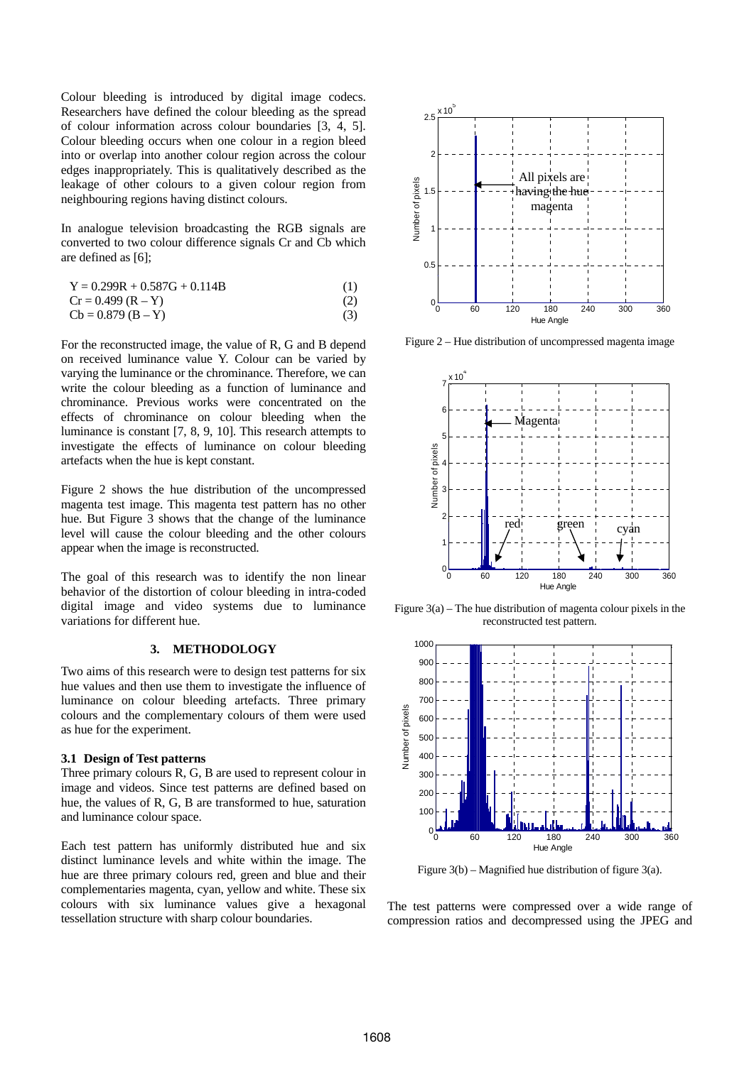Colour bleeding is introduced by digital image codecs. Researchers have defined the colour bleeding as the spread of colour information across colour boundaries [3, 4, 5]. Colour bleeding occurs when one colour in a region bleed into or overlap into another colour region across the colour edges inappropriately. This is qualitatively described as the leakage of other colours to a given colour region from neighbouring regions having distinct colours.

In analogue television broadcasting the RGB signals are converted to two colour difference signals Cr and Cb which are defined as [6];

$$
Y = 0.299R + 0.587G + 0.114B
$$
 (1)

$$
Cr = 0.499 (R - Y)
$$
 (2)

$$
Cb = 0.879 (B - Y)
$$
 (3)

For the reconstructed image, the value of R, G and B depend on received luminance value Y. Colour can be varied by varying the luminance or the chrominance. Therefore, we can write the colour bleeding as a function of luminance and chrominance. Previous works were concentrated on the effects of chrominance on colour bleeding when the luminance is constant [7, 8, 9, 10]. This research attempts to investigate the effects of luminance on colour bleeding artefacts when the hue is kept constant.

Figure 2 shows the hue distribution of the uncompressed magenta test image. This magenta test pattern has no other hue. But Figure 3 shows that the change of the luminance level will cause the colour bleeding and the other colours appear when the image is reconstructed.

The goal of this research was to identify the non linear behavior of the distortion of colour bleeding in intra-coded digital image and video systems due to luminance variations for different hue.

# **3. METHODOLOGY**

Two aims of this research were to design test patterns for six hue values and then use them to investigate the influence of luminance on colour bleeding artefacts. Three primary colours and the complementary colours of them were used as hue for the experiment.

#### **3.1 Design of Test patterns**

Three primary colours R, G, B are used to represent colour in image and videos. Since test patterns are defined based on hue, the values of R, G, B are transformed to hue, saturation and luminance colour space.

Each test pattern has uniformly distributed hue and six distinct luminance levels and white within the image. The hue are three primary colours red, green and blue and their complementaries magenta, cyan, yellow and white. These six colours with six luminance values give a hexagonal tessellation structure with sharp colour boundaries.



Figure 2 – Hue distribution of uncompressed magenta image



Figure 3(a) – The hue distribution of magenta colour pixels in the reconstructed test pattern.



Figure 3(b) – Magnified hue distribution of figure 3(a).

The test patterns were compressed over a wide range of compression ratios and decompressed using the JPEG and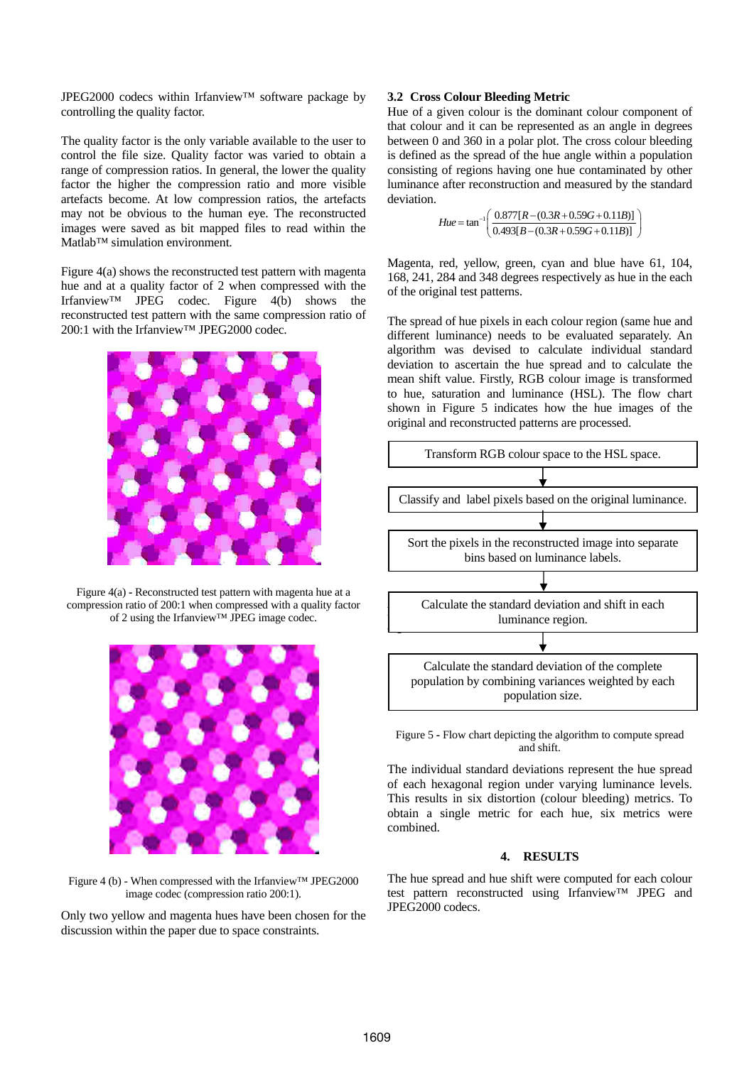JPEG2000 codecs within Irfanview™ software package by controlling the quality factor.

The quality factor is the only variable available to the user to control the file size. Quality factor was varied to obtain a range of compression ratios. In general, the lower the quality factor the higher the compression ratio and more visible artefacts become. At low compression ratios, the artefacts may not be obvious to the human eye. The reconstructed images were saved as bit mapped files to read within the Matlab™ simulation environment.

Figure 4(a) shows the reconstructed test pattern with magenta hue and at a quality factor of 2 when compressed with the Irfanview™ JPEG codec. Figure 4(b) shows the reconstructed test pattern with the same compression ratio of 200:1 with the Irfanview™ JPEG2000 codec.



Figure 4(a) **-** Reconstructed test pattern with magenta hue at a compression ratio of 200:1 when compressed with a quality factor of 2 using the Irfanview™ JPEG image codec.



Figure 4 (b) - When compressed with the Irfanview™ JPEG2000 image codec (compression ratio 200:1).

Only two yellow and magenta hues have been chosen for the discussion within the paper due to space constraints.

## **3.2 Cross Colour Bleeding Metric**

Hue of a given colour is the dominant colour component of that colour and it can be represented as an angle in degrees between 0 and 360 in a polar plot. The cross colour bleeding is defined as the spread of the hue angle within a population consisting of regions having one hue contaminated by other luminance after reconstruction and measured by the standard deviation.

$$
Hue = \tan^{-1} \left( \frac{0.877[R - (0.3R + 0.59G + 0.11B)]}{0.493[B - (0.3R + 0.59G + 0.11B)]} \right)
$$

Magenta, red, yellow, green, cyan and blue have 61, 104, 168, 241, 284 and 348 degrees respectively as hue in the each of the original test patterns.

The spread of hue pixels in each colour region (same hue and different luminance) needs to be evaluated separately. An algorithm was devised to calculate individual standard deviation to ascertain the hue spread and to calculate the mean shift value. Firstly, RGB colour image is transformed to hue, saturation and luminance (HSL). The flow chart shown in Figure 5 indicates how the hue images of the original and reconstructed patterns are processed.



Figure 5 **-** Flow chart depicting the algorithm to compute spread and shift.

The individual standard deviations represent the hue spread of each hexagonal region under varying luminance levels. This results in six distortion (colour bleeding) metrics. To obtain a single metric for each hue, six metrics were combined.

#### **4. RESULTS**

The hue spread and hue shift were computed for each colour test pattern reconstructed using Irfanview™ JPEG and JPEG2000 codecs.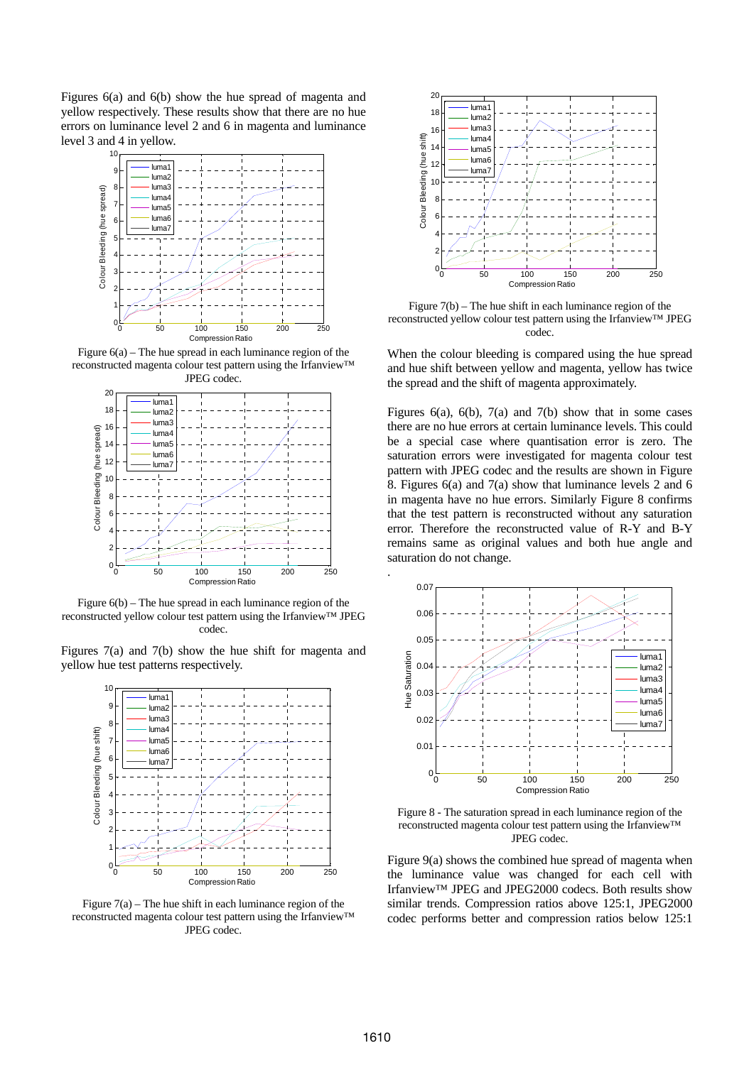Figures 6(a) and 6(b) show the hue spread of magenta and yellow respectively. These results show that there are no hue errors on luminance level 2 and 6 in magenta and luminance level 3 and 4 in yellow.



Figure 6(a) – The hue spread in each luminance region of the reconstructed magenta colour test pattern using the Irfanview™ JPEG codec.



Figure 6(b) – The hue spread in each luminance region of the reconstructed yellow colour test pattern using the Irfanview™ JPEG codec.

Figures 7(a) and 7(b) show the hue shift for magenta and yellow hue test patterns respectively.



Figure  $7(a)$  – The hue shift in each luminance region of the reconstructed magenta colour test pattern using the Irfanview™ JPEG codec.



Figure 7(b) – The hue shift in each luminance region of the reconstructed yellow colour test pattern using the Irfanview™ JPEG codec.

When the colour bleeding is compared using the hue spread and hue shift between yellow and magenta, yellow has twice the spread and the shift of magenta approximately.

Figures 6(a), 6(b), 7(a) and 7(b) show that in some cases there are no hue errors at certain luminance levels. This could be a special case where quantisation error is zero. The saturation errors were investigated for magenta colour test pattern with JPEG codec and the results are shown in Figure 8. Figures 6(a) and 7(a) show that luminance levels 2 and 6 in magenta have no hue errors. Similarly Figure 8 confirms that the test pattern is reconstructed without any saturation error. Therefore the reconstructed value of R-Y and B-Y remains same as original values and both hue angle and saturation do not change.



Figure 8 - The saturation spread in each luminance region of the reconstructed magenta colour test pattern using the Irfanview™ JPEG codec.

Figure 9(a) shows the combined hue spread of magenta when the luminance value was changed for each cell with Irfanview™ JPEG and JPEG2000 codecs. Both results show similar trends. Compression ratios above 125:1, JPEG2000 codec performs better and compression ratios below 125:1